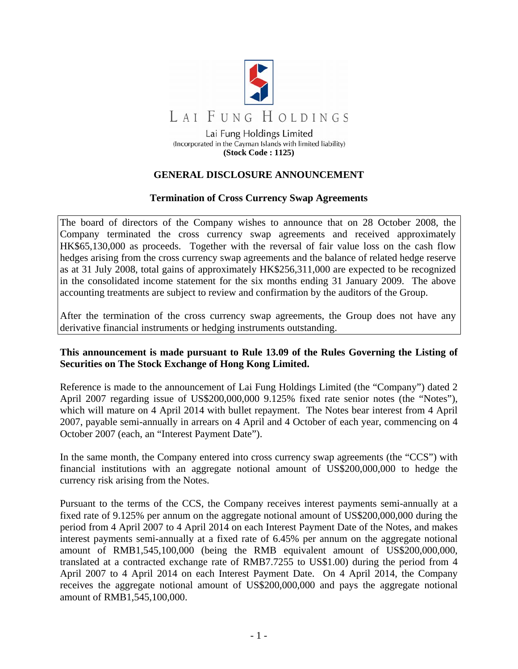

## **GENERAL DISCLOSURE ANNOUNCEMENT**

## **Termination of Cross Currency Swap Agreements**

The board of directors of the Company wishes to announce that on 28 October 2008, the Company terminated the cross currency swap agreements and received approximately HK\$65,130,000 as proceeds. Together with the reversal of fair value loss on the cash flow hedges arising from the cross currency swap agreements and the balance of related hedge reserve as at 31 July 2008, total gains of approximately HK\$256,311,000 are expected to be recognized in the consolidated income statement for the six months ending 31 January 2009. The above accounting treatments are subject to review and confirmation by the auditors of the Group.

After the termination of the cross currency swap agreements, the Group does not have any derivative financial instruments or hedging instruments outstanding.

## **This announcement is made pursuant to Rule 13.09 of the Rules Governing the Listing of Securities on The Stock Exchange of Hong Kong Limited.**

Reference is made to the announcement of Lai Fung Holdings Limited (the "Company") dated 2 April 2007 regarding issue of US\$200,000,000 9.125% fixed rate senior notes (the "Notes"), which will mature on 4 April 2014 with bullet repayment. The Notes bear interest from 4 April 2007, payable semi-annually in arrears on 4 April and 4 October of each year, commencing on 4 October 2007 (each, an "Interest Payment Date").

In the same month, the Company entered into cross currency swap agreements (the "CCS") with financial institutions with an aggregate notional amount of US\$200,000,000 to hedge the currency risk arising from the Notes.

Pursuant to the terms of the CCS, the Company receives interest payments semi-annually at a fixed rate of 9.125% per annum on the aggregate notional amount of US\$200,000,000 during the period from 4 April 2007 to 4 April 2014 on each Interest Payment Date of the Notes, and makes interest payments semi-annually at a fixed rate of 6.45% per annum on the aggregate notional amount of RMB1,545,100,000 (being the RMB equivalent amount of US\$200,000,000, translated at a contracted exchange rate of RMB7.7255 to US\$1.00) during the period from 4 April 2007 to 4 April 2014 on each Interest Payment Date. On 4 April 2014, the Company receives the aggregate notional amount of US\$200,000,000 and pays the aggregate notional amount of RMB1,545,100,000.